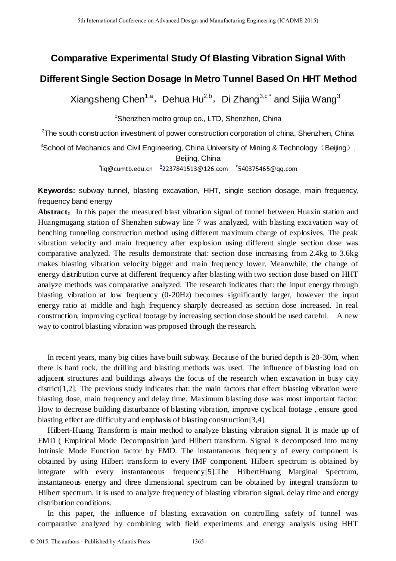# **Comparative Experimental Study Of Blasting Vibration Signal With**

## **Different Single Section Dosage In Metro Tunnel Based On HHT Method**

Xiangsheng Chen<sup>1,a</sup>, Dehua Hu<sup>2,b</sup>, Di Zhang<sup>3,c\*</sup> and Sijia Wang<sup>3</sup>

<sup>1</sup>Shenzhen metro group co., LTD, Shenzhen, China

<sup>2</sup>The south construction investment of power construction corporation of china, Shenzhen, China

<sup>3</sup>School of Mechanics and Civil Engineering, China University of Mining & Technology (Beijing), Beijing, China

a liq@cumtb.edu.cn b 2237841513@126.com c 540375465@qq.com

**Keywords:** subway tunnel, blasting excavation, HHT, single section dosage, main frequency, frequency band energy

Abstract: In this paper the measured blast vibration signal of tunnel between Huaxin station and Huangmugang station of Shenzhen subway line 7 was analyzed, with blasting excavation way of benching tunneling construction method using different maximum charge of explosives. The peak vibration velocity and main frequency after explosion using different single section dose was comparative analyzed. The results demonstrate that: section dose increasing from 2.4kg to 3.6kg makes blasting vibration velocity bigger and main frequency lower. Meanwhile, the change of energy distribution curve at different frequency after blasting with two section dose based on HHT analyze methods was comparative analyzed. The research indicates that: the input energy through blasting vibration at low frequency (0-20Hz) becomes significantly larger, however the input energy ratio at middle and high frequency sharply decreased as section dose increased. In real construction, improving cyclical footage by increasing section dose should be used careful. A new way to control blasting vibration was proposed through the research. 5th Isanatosal Conference on Advanced Design and Manufacturing Engels and **Conference of Stating Conference of Stating Conference of Stating 2015.**<br> **Comparative Experimental Study Of Blasting Vibration Signary Different** 

In recent years, many big cities have built subway. Because of the buried depth is 20-30m, when there is hard rock, the drilling and blasting methods was used. The influence of blasting load on adjacent structures and buildings always the focus of the research when excavation in busy city district<sup>[1,2]</sup>. The previous study indicates that: the main factors that effect blasting vibration were blasting dose, main frequency and delay time. Maximum blasting dose was most important factor. How to decrease building disturbance of blasting vibration, improve cyclical footage , ensure good blasting effect are difficulty and emphasis of blasting construction[3,4].

Hilbert-Huang Transform is main method to analyze blasting vibration signal. It is made up of EMD ( Empirical Mode Decomposition )and Hilbert transform. Signal is decomposed into many Intrinsic Mode Function factor by EMD. The instantaneous frequency of every component is obtained by using Hilbert transform to every IMF component. Hilbert spectrum is obtained by integrate with every instantaneous frequency[5].The HilbertHuang Marginal Spectrum, instantaneous energy and three dimensional spectrum can be obtained by integral transform to Hilbert spectrum. It is used to analyze frequency of blasting vibration signal, delay time and energy distribution conditions.

In this paper, the influence of blasting excavation on controlling safety of tunnel was comparative analyzed by combining with field experiments and energy analysis using HHT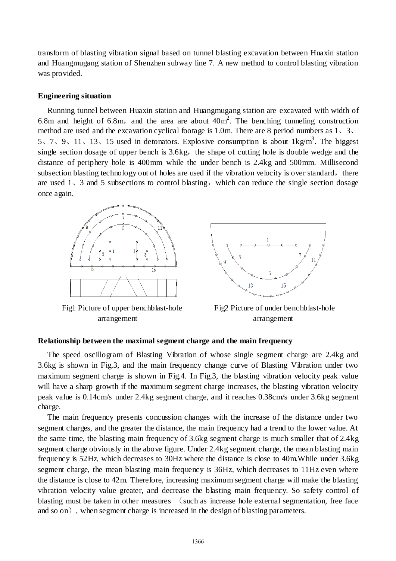transform of blasting vibration signal based on tunnel blasting excavation between Huaxin station and Huangmugang station of Shenzhen subway line 7. A new method to control blasting vibration was provided.

#### **[Engineering situation](http://dict.cnki.net/dict_result.aspx?searchword=%e5%b7%a5%e7%a8%8b%e6%a6%82%e5%86%b5&tjType=sentence&style=&t=engineering+situation)**

[Running tunnel](http://dict.cnki.net/dict_result.aspx?searchword=%e5%8c%ba%e9%97%b4%e9%9a%a7%e9%81%93&tjType=sentence&style=&t=running+tunnel) between Huaxin station and Huangmugang station are [excavated](http://dict.cnki.net/dict_result.aspx?searchword=%e5%bc%80%e6%8c%96&tjType=sentence&style=&t=excavated) with width of 6.8m and height of 6.8m, and the area are about  $40m^2$ . The benching tunneling construction method are used and the excavation cyclical footage is 1.0m. There are 8 [period numbers](http://dict.cnki.net/dict_result.aspx?searchword=%e6%ae%b5%e4%bd%8d&tjType=sentence&style=&t=period+number) as 1、3、 5, 7, 9, 11, 13, 15 used in [detonators](http://dict.cnki.net/dict_result.aspx?searchword=%e9%9b%b7%e7%ae%a1&tjType=sentence&style=&t=detonator). [Explosive consumption](http://dict.cnki.net/dict_result.aspx?searchword=%e7%82%b8%e8%8d%af%e5%8d%95%e8%80%97&tjType=sentence&style=&t=explosive+consumption) is about  $1 \text{kg/m}^3$ . The biggest single section [dosage](http://dict.cnki.net/dict_result.aspx?searchword=%e8%8d%af%e9%87%8f&tjType=sentence&style=&t=dosage) of [upper bench](http://dict.cnki.net/dict_result.aspx?searchword=%e4%b8%8a%e5%8f%b0%e9%98%b6&tjType=sentence&style=&t=upper+bench) is  $3.6kg$ , the shape of [cutting hole](http://dict.cnki.net/dict_result.aspx?searchword=%e6%8e%8f%e6%a7%bd%e7%9c%bc&tjType=sentence&style=&t=cutting+hole) is [double wedge](http://dict.cnki.net/dict_result.aspx?searchword=%e5%8f%8c%e6%a5%94%e5%bd%a2&tjType=sentence&style=&t=double+wedge) and the [distance](http://dict.cnki.net/dict_result.aspx?searchword=%e9%97%b4%e8%b7%9d&tjType=sentence&style=&t=distance) of [periphery hole](http://dict.cnki.net/dict_result.aspx?searchword=%e5%91%a8%e8%be%b9%e7%9c%bc&tjType=sentence&style=&t=periphery+hole) is 400mm while the under bench is 2.4kg and 500mm. Millisecond subsection blasting technology out of holes are used if the [vibration velocity](http://dict.cnki.net/dict_result.aspx?searchword=%e6%8c%af%e9%80%9f&tjType=sentence&style=&t=vibration+velocity) is [over standard](http://dict.cnki.net/dict_result.aspx?searchword=%e8%b6%85%e6%a0%87&tjType=sentence&style=&t=over+standard), there are used  $1\sqrt{3}$  and 5 subsections to control blasting, which can [reduce](http://dict.cnki.net/dict_result.aspx?searchword=%e9%99%8d%e4%bd%8e&tjType=sentence&style=&t=reduce) the single section [dosage](http://dict.cnki.net/dict_result.aspx?searchword=%e8%8d%af%e9%87%8f&tjType=sentence&style=&t=dosage) once again.



Fig1 Picture of upper benchblast-hole Fig2 Picture of under benchblast-hole arrangement [arrangement](http://dict.cnki.net/dict_result.aspx?searchword=%e7%82%ae%e5%ad%94%e5%b8%83%e7%bd%ae&tjType=sentence&style=&t=blast-hole+arrangement)



#### **Relationship between the maximal segment charge and the main frequency**

The speed oscillogram of Blasting Vibration of whose single segment charge are 2.4kg and 3.6kg is shown in Fig.3, and the main frequency change curve of Blasting Vibration under two maximum segment charge is shown in Fig.4. In Fig.3, the blasting vibration velocity peak value will have a sharp growth if the maximum segment charge increases, the blasting vibration velocity peak value is 0.14cm/s under 2.4kg segment charge, and it reaches 0.38cm/s under 3.6kg segment charge.

The main frequency presents concussion changes with the increase of the distance under two segment charges, and the greater the distance, the main frequency had a trend to the lower value. At the same time, the blasting main frequency of 3.6kg segment charge is much smaller that of 2.4kg segment charge obviously in the above figure. Under 2.4kg segment charge, the mean blasting main frequency is 52Hz, which decreases to 30Hz where the distance is close to 40m.While under 3.6kg segment charge, the mean blasting main frequency is 36Hz, which decreases to 11Hz even where the distance is close to 42m. Therefore, increasing maximum segment charge will make the blasting vibration velocity value greater, and decrease the blasting main frequency. So safety control of blasting must be taken in other measures (such as increase hole external segmentation, free face and so on), when segment charge is increased in the design of blasting parameters.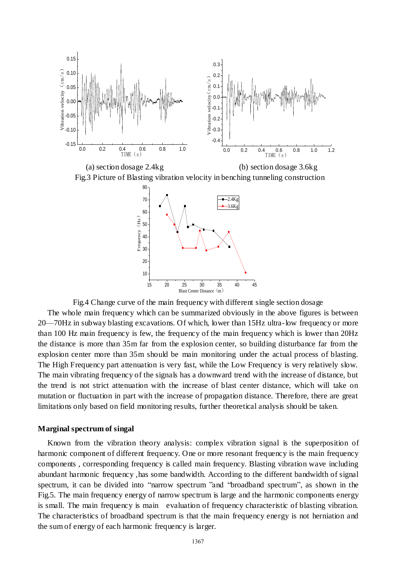

(a) section [dosage](http://dict.cnki.net/dict_result.aspx?searchword=%e8%8d%af%e9%87%8f&tjType=sentence&style=&t=dosage) 2.4kg (b) sectio[n dosage](http://dict.cnki.net/dict_result.aspx?searchword=%e8%8d%af%e9%87%8f&tjType=sentence&style=&t=dosage) 3.6kg Fig.3 Picture of Blasting vibration velocity in benching tunneling construction



Fig.4 Change curve of the main frequency with different single sectio[n dosage](http://dict.cnki.net/dict_result.aspx?searchword=%e8%8d%af%e9%87%8f&tjType=sentence&style=&t=dosage)

The whole main frequency which can be summarized obviously in the above figures is between 20—70Hz in subway blasting excavations. Of which, lower than 15Hz ultra-low frequency or more than 100 Hz main frequency is few, the frequency of the main frequency which is lower than 20Hz the distance is more than 35m far from the explosion center, so building disturbance far from the explosion center more than 35m should be main monitoring under the actual process of blasting. The High Frequency part attenuation is very fast, while the Low Frequency is very relatively slow. The main vibrating frequency of the signals has a downward trend with the increase of distance, but the trend is not strict attenuation with the increase of blast center distance, which will take on mutation or fluctuation in part with the increase of propagation distance. Therefore, there are great limitations only based on field monitoring results, further theoretical analysis should be taken.

#### **Marginal spectrum of singal**

Known from the vibration theory analysis: [complex](http://dict.cnki.net/dict_result.aspx?searchword=%e5%a4%8d%e6%9d%82&tjType=sentence&style=&t=complex) [vibration](http://dict.cnki.net/dict_result.aspx?searchword=%e6%8c%af%e5%8a%a8&tjType=sentence&style=&t=vibra+tion) [signal](http://dict.cnki.net/dict_result.aspx?searchword=%e4%bf%a1%e5%8f%b7&tjType=sentence&style=&t=signal) is the [superposition](http://dict.cnki.net/dict_result.aspx?searchword=%e5%8f%a0%e5%8a%a0&tjType=sentence&style=&t=superposition) of [harmonic](http://dict.cnki.net/dict_result.aspx?searchword=%e8%b0%90%e6%b3%a2&tjType=sentence&style=&t=harmonic) [component](http://dict.cnki.net/dict_result.aspx?searchword=%e5%88%86%e9%87%8f&tjType=sentence&style=&t=component) of [different](http://dict.cnki.net/dict_result.aspx?searchword=%e4%b8%8d%e5%90%8c&tjType=sentence&style=&t=different) [frequency.](http://dict.cnki.net/dict_result.aspx?searchword=%e9%a2%91%e7%8e%87&tjType=sentence&style=&t=frequency) One or more [resonant](http://dict.cnki.net/dict_result.aspx?searchword=%e8%b0%90%e6%8c%af&tjType=sentence&style=&t=resonance) [frequency](http://dict.cnki.net/dict_result.aspx?searchword=%e9%a2%91%e7%8e%87&tjType=sentence&style=&t=frequency) is the main frequency components , [corresponding](http://dict.cnki.net/dict_result.aspx?searchword=%e7%9b%b8%e5%ba%94%e7%9a%84&tjType=sentence&style=&t=corresponding) [frequency](http://dict.cnki.net/dict_result.aspx?searchword=%e9%a2%91%e7%8e%87&tjType=sentence&style=&t=frequency) is [called](http://dict.cnki.net/dict_result.aspx?searchword=%e7%a7%b0&tjType=sentence&style=&t=called) [main frequency.](http://dict.cnki.net/dict_result.aspx?searchword=%e4%b8%bb%e9%a2%91%e7%8e%87&tjType=sentence&style=&t=main+frequency) [Blasting vibration wave](http://dict.cnki.net/dict_result.aspx?searchword=%e7%88%86%e7%a0%b4%e6%8c%af%e5%8a%a8%e6%b3%a2&tjType=sentence&style=&t=blasting+vibration+wave) [including](http://dict.cnki.net/dict_result.aspx?searchword=%e5%8c%85%e5%90%ab&tjType=sentence&style=&t=includes) [abundant](http://dict.cnki.net/dict_result.aspx?searchword=%e4%b8%b0%e5%af%8c%e7%9a%84&tjType=sentence&style=&t=abundant) [harmonic](http://dict.cnki.net/dict_result.aspx?searchword=%e8%b0%90%e6%b3%a2&tjType=sentence&style=&t=harmonic) [frequency](http://dict.cnki.net/dict_result.aspx?searchword=%e9%a2%91%e7%8e%87&tjType=sentence&style=&t=frequency) ,has [some](http://dict.cnki.net/dict_result.aspx?searchword=%e4%b8%80%e5%ae%9a%e7%9a%84&tjType=sentence&style=&t=some) [bandwidth.](http://dict.cnki.net/dict_result.aspx?searchword=%e9%a2%91%e5%b8%a6%e5%ae%bd%e5%ba%a6&tjType=sentence&style=&t=bandwidth) [According to](http://dict.cnki.net/dict_result.aspx?searchword=%e6%8c%89%e7%85%a7&tjType=sentence&style=&t=according+to) the [different](http://dict.cnki.net/dict_result.aspx?searchword=%e4%b8%8d%e5%90%8c&tjType=sentence&style=&t=different) [bandwidth](http://dict.cnki.net/dict_result.aspx?searchword=%e5%b8%a6%e5%ae%bd&tjType=sentence&style=&t=bandwidth) of [signal](http://dict.cnki.net/dict_result.aspx?searchword=%e4%bf%a1%e5%8f%b7%e9%a2%91%e8%b0%b1&tjType=sentence&style=&t=signal+spectrum)  [spectrum, it](http://dict.cnki.net/dict_result.aspx?searchword=%e4%bf%a1%e5%8f%b7%e9%a2%91%e8%b0%b1&tjType=sentence&style=&t=signal+spectrum) [can](http://dict.cnki.net/dict_result.aspx?searchword=%e5%8f%af%e4%bb%a5&tjType=sentence&style=&t=can) be [divided into](http://dict.cnki.net/dict_result.aspx?searchword=%e5%88%86%e6%88%90&tjType=sentence&style=&t=divided+into) ["narrow](http://dict.cnki.net/dict_result.aspx?searchword=%e7%aa%84&tjType=sentence&style=&t=narrow) [spectrum](http://dict.cnki.net/dict_result.aspx?searchword=%e9%a2%91%e8%b0%b1&tjType=sentence&style=&t=spectrum) "and ["broadband](http://dict.cnki.net/dict_result.aspx?searchword=%e5%ae%bd%e5%b8%a6&tjType=sentence&style=&t=broadband) [spectrum"](http://dict.cnki.net/dict_result.aspx?searchword=%e9%a2%91%e8%b0%b1&tjType=sentence&style=&t=spectrum), [as](http://dict.cnki.net/dict_result.aspx?searchword=%e5%a6%82&tjType=sentence&style=&t=as) shown in the Fig.5. The [main](http://dict.cnki.net/dict_result.aspx?searchword=%e4%b8%bb&tjType=sentence&style=&t=main) [frequency](http://dict.cnki.net/dict_result.aspx?searchword=%e9%a2%91%e7%8e%87&tjType=sentence&style=&t=frequency) [energy](http://dict.cnki.net/dict_result.aspx?searchword=%e8%83%bd%e9%87%8f&tjType=sentence&style=&t=energy) of [narrow](http://dict.cnki.net/dict_result.aspx?searchword=%e7%aa%84&tjType=sentence&style=&t=narrow) [spectrum](http://dict.cnki.net/dict_result.aspx?searchword=%e9%a2%91%e8%b0%b1&tjType=sentence&style=&t=spectrum) is [large](http://dict.cnki.net/dict_result.aspx?searchword=%e5%a4%a7&tjType=sentence&style=&t=large) and the [harmonic components](http://dict.cnki.net/dict_result.aspx?searchword=%e8%b0%90%e6%b3%a2%e6%88%90%e5%88%86&tjType=sentence&style=&t=harmonic+components) [energy](http://dict.cnki.net/dict_result.aspx?searchword=%e8%83%bd%e9%87%8f&tjType=sentence&style=&t=energy) is small. The [main](http://dict.cnki.net/dict_result.aspx?searchword=%e4%b8%bb%e8%a6%81&tjType=sentence&style=&t=main) [frequency](http://dict.cnki.net/dict_result.aspx?searchword=%e9%a2%91%e7%8e%87&tjType=sentence&style=&t=frequency) is main [evaluation](http://dict.cnki.net/dict_result.aspx?searchword=%e8%af%84%e4%bb%b7&tjType=sentence&style=&t=evaluation) of [frequency characteristic](http://dict.cnki.net/dict_result.aspx?searchword=%e9%a2%91%e7%8e%87%e7%89%b9%e6%80%a7&tjType=sentence&style=&t=frequency+characteristic) of [blasting vibration.](http://dict.cnki.net/dict_result.aspx?searchword=%e7%88%86%e7%a0%b4%e6%8c%af%e5%8a%a8&tjType=sentence&style=&t=blasting+vibration) The [characteristics](http://dict.cnki.net/dict_result.aspx?searchword=%e7%89%b9%e7%82%b9&tjType=sentence&style=&t=characteristics) of [broadband](http://dict.cnki.net/dict_result.aspx?searchword=%e5%ae%bd%e5%b8%a6&tjType=sentence&style=&t=broadband) [spectrum](http://dict.cnki.net/dict_result.aspx?searchword=%e9%a2%91%e8%b0%b1&tjType=sentence&style=&t=spectrum) is that the [main](http://dict.cnki.net/dict_result.aspx?searchword=%e4%b8%bb&tjType=sentence&style=&t=main) [frequency](http://dict.cnki.net/dict_result.aspx?searchword=%e9%a2%91%e7%8e%87&tjType=sentence&style=&t=frequency) [energy](http://dict.cnki.net/dict_result.aspx?searchword=%e8%83%bd%e9%87%8f&tjType=sentence&style=&t=energy) is [not](http://dict.cnki.net/dict_result.aspx?searchword=%e4%b8%8d&tjType=sentence&style=&t=not) [herniation](http://dict.cnki.net/dict_result.aspx?searchword=%e7%aa%81%e5%87%ba&tjType=sentence&style=&t=herniation) and the sum of [energy](http://dict.cnki.net/dict_result.aspx?searchword=%e8%83%bd%e9%87%8f&tjType=sentence&style=&t=energy) of [each](http://dict.cnki.net/dict_result.aspx?searchword=%e5%90%84&tjType=sentence&style=&t=each) [harmonic](http://dict.cnki.net/dict_result.aspx?searchword=%e8%b0%90%e6%b3%a2&tjType=sentence&style=&t=harmonic) [frequency](http://dict.cnki.net/dict_result.aspx?searchword=%e9%a2%91%e7%8e%87&tjType=sentence&style=&t=frequency) is larger.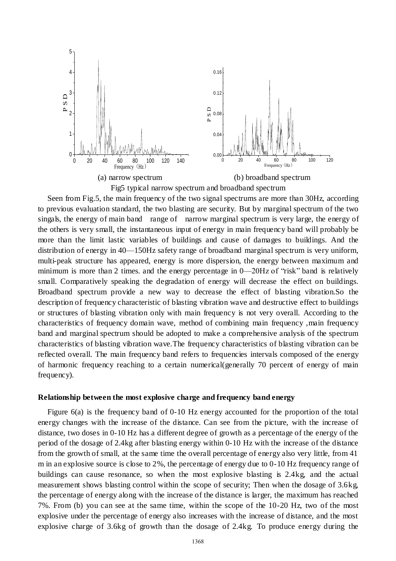

Fig5 [typical](http://dict.cnki.net/dict_result.aspx?searchword=%e5%85%b8%e5%9e%8b%e7%9a%84&tjType=sentence&style=&t=typical) [narrow](http://dict.cnki.net/dict_result.aspx?searchword=%e7%aa%84&tjType=sentence&style=&t=narrow) [spectrum](http://dict.cnki.net/dict_result.aspx?searchword=%e9%a2%91%e8%b0%b1&tjType=sentence&style=&t=spectrum) and broadband [spectrum](http://dict.cnki.net/dict_result.aspx?searchword=%e9%a2%91%e8%b0%b1&tjType=sentence&style=&t=spectrum)

Seen [from](http://dict.cnki.net/dict_result.aspx?searchword=%e4%bb%8e&tjType=sentence&style=&t=from) Fig.5, the main [frequency](http://dict.cnki.net/dict_result.aspx?searchword=%e9%a2%91%e7%8e%87&tjType=sentence&style=&t=frequency) of the two [signal spectrums](http://dict.cnki.net/dict_result.aspx?searchword=%e4%bf%a1%e5%8f%b7%e9%a2%91%e8%b0%b1&tjType=sentence&style=&t=signal+spectrum) are more than 30Hz, [according](http://dict.cnki.net/dict_result.aspx?searchword=%e6%8c%89%e7%85%a7&tjType=sentence&style=&t=according+to)  [to](http://dict.cnki.net/dict_result.aspx?searchword=%e6%8c%89%e7%85%a7&tjType=sentence&style=&t=according+to) [previous](http://dict.cnki.net/dict_result.aspx?searchword=%e4%bb%a5%e5%be%80&tjType=sentence&style=&t=previous) evaluation standard, the two blasting are [security.](http://dict.cnki.net/dict_result.aspx?searchword=%e5%ae%89%e5%85%a8%e7%9a%84&tjType=sentence&style=&t=security) But [by](http://dict.cnki.net/dict_result.aspx?searchword=%e7%94%b1&tjType=sentence&style=&t=by) [marginal](http://dict.cnki.net/dict_result.aspx?searchword=%e8%be%b9%e9%99%85&tjType=sentence&style=&t=marginal) [spectrum](http://dict.cnki.net/dict_result.aspx?searchword=%e8%b0%b1&tjType=sentence&style=&t=spectrum) of the two singals, the [energy](http://dict.cnki.net/dict_result.aspx?searchword=%e8%83%bd%e9%87%8f&tjType=sentence&style=&t=energy) of main [band](http://dict.cnki.net/dict_result.aspx?searchword=%e9%a2%91%e5%b8%a6&tjType=sentence&style=&t=band) range of [narrow](http://dict.cnki.net/dict_result.aspx?searchword=%e7%aa%84&tjType=sentence&style=&t=narrow) [marginal](http://dict.cnki.net/dict_result.aspx?searchword=%e8%be%b9%e9%99%85&tjType=sentence&style=&t=marginal) [spectrum](http://dict.cnki.net/dict_result.aspx?searchword=%e8%b0%b1&tjType=sentence&style=&t=spectrum) is very large, the [energy](http://dict.cnki.net/dict_result.aspx?searchword=%e8%83%bd%e9%87%8f&tjType=sentence&style=&t=energy) of the others is very small, the [instantaneous](http://dict.cnki.net/dict_result.aspx?searchword=%e7%9e%ac%e6%97%b6&tjType=sentence&style=&t=instantaneous) input o[f energy](http://dict.cnki.net/dict_result.aspx?searchword=%e8%83%bd%e9%87%8f&tjType=sentence&style=&t=energy) in main frequency band [will](http://dict.cnki.net/dict_result.aspx?searchword=%e4%bc%9a&tjType=sentence&style=&t=will) [probably](http://dict.cnki.net/dict_result.aspx?searchword=%e5%be%88%e5%8f%af%e8%83%bd&tjType=sentence&style=&t=probably) be [more than](http://dict.cnki.net/dict_result.aspx?searchword=%e8%b6%85%e8%bf%87&tjType=sentence&style=&t=more+than) the [limit](http://dict.cnki.net/dict_result.aspx?searchword=%e6%9e%81%e9%99%90&tjType=sentence&style=&t=limit) lastic [variables](http://dict.cnki.net/dict_result.aspx?searchword=%e5%8f%98%e9%87%8f&tjType=sentence&style=&t=variables) of buildings and [cause o](http://dict.cnki.net/dict_result.aspx?searchword=%e9%80%a0%e6%88%90&tjType=sentence&style=&t=caused+by)f [damages](http://dict.cnki.net/dict_result.aspx?searchword=%e6%8d%9f%e5%ae%b3&tjType=sentence&style=&t=damage) to buildings. And the [distribution](http://dict.cnki.net/dict_result.aspx?searchword=%e5%88%86%e5%b8%83&tjType=sentence&style=&t=distribution) of energy in 40—150Hz [safety range](http://dict.cnki.net/dict_result.aspx?searchword=%e2%80%9c%e5%ae%89%e5%85%a8%e8%8c%83%e5%9b%b4%e2%80%9d&tjType=sentence&style=&t=safety+range) of [broadband](http://dict.cnki.net/dict_result.aspx?searchword=%e5%ae%bd%e5%b8%a6&tjType=sentence&style=&t=broadband) [marginal](http://dict.cnki.net/dict_result.aspx?searchword=%e8%be%b9%e9%99%85&tjType=sentence&style=&t=marginal) [spectrum](http://dict.cnki.net/dict_result.aspx?searchword=%e8%b0%b1&tjType=sentence&style=&t=spectrum) is [very](http://dict.cnki.net/dict_result.aspx?searchword=%e9%9d%9e%e5%b8%b8&tjType=sentence&style=&t=very) [uniform,](http://dict.cnki.net/dict_result.aspx?searchword=%e5%9d%87%e5%8c%80&tjType=sentence&style=&t=uniform) multi-peak structure has appeared, [energy](http://dict.cnki.net/dict_result.aspx?searchword=%e8%83%bd%e9%87%8f&tjType=sentence&style=&t=energy) is [more](http://dict.cnki.net/dict_result.aspx?searchword=%e8%be%83&tjType=sentence&style=&t=more) [dispersion,](http://dict.cnki.net/dict_result.aspx?searchword=%e5%88%86%e6%95%a3&tjType=sentence&style=&t=dispersion) the [energy](http://dict.cnki.net/dict_result.aspx?searchword=%e8%83%bd%e9%87%8f&tjType=sentence&style=&t=energy) between [maximum](http://dict.cnki.net/dict_result.aspx?searchword=%e6%9c%80%e5%a4%a7%e5%80%bc&tjType=sentence&style=&t=maximum) and [minimum](http://dict.cnki.net/dict_result.aspx?searchword=%e6%9c%80%e5%b0%8f%e5%80%bc&tjType=sentence&style=&t=minimum) is more than 2 times. and the [energy](http://dict.cnki.net/dict_result.aspx?searchword=%e8%83%bd%e9%87%8f&tjType=sentence&style=&t=energy) [percentage](http://dict.cnki.net/dict_result.aspx?searchword=%e7%99%be%e5%88%86%e6%af%94&tjType=sentence&style=&t=percentage) in 0—20Hz of ["risk"](http://dict.cnki.net/dict_result.aspx?searchword=%e5%8d%b1%e9%99%a9&tjType=sentence&style=&t=risk) [band](http://dict.cnki.net/dict_result.aspx?searchword=%e9%a2%91%e5%b8%a6&tjType=sentence&style=&t=band) is [relativel](http://dict.cnki.net/dict_result.aspx?searchword=%e7%9b%b8%e5%af%b9&tjType=sentence&style=&t=relative)y small. [Comparatively speaking](http://dict.cnki.net/dict_result.aspx?searchword=%e7%9b%b8%e5%af%b9%e8%80%8c%e8%a8%80&tjType=sentence&style=&t=comparatively+speaking) the [degradation of energy](http://dict.cnki.net/dict_result.aspx?searchword=%e8%83%bd%e9%87%8f%e9%99%8d%e4%bd%8e&tjType=sentence&style=&t=degradation+of+energy) will [decrease](http://dict.cnki.net/dict_result.aspx?searchword=%e5%87%8f%e5%b0%8f&tjType=sentence&style=&t=decrease) the [effect](http://dict.cnki.net/dict_result.aspx?searchword=%e5%bd%b1%e5%93%8d&tjType=sentence&style=&t=effect) on [buildings](http://dict.cnki.net/dict_result.aspx?searchword=%e5%bb%ba%e7%ad%91%e7%89%a9&tjType=sentence&style=&t=building). [Broadband](http://dict.cnki.net/dict_result.aspx?searchword=%e5%ae%bd%e5%b8%a6&tjType=sentence&style=&t=broadband) [spectrum](http://dict.cnki.net/dict_result.aspx?searchword=%e9%a2%91%e8%b0%b1&tjType=sentence&style=&t=spectrum) [provide](http://dict.cnki.net/dict_result.aspx?searchword=%e6%8f%90%e4%be%9b&tjType=sentence&style=&t=provide) a [new](http://dict.cnki.net/dict_result.aspx?searchword=%e7%a7%8d&tjType=sentence&style=&t=new) [way](http://dict.cnki.net/dict_result.aspx?searchword=%e9%80%94%e5%be%84&tjType=sentence&style=&t=way) to [decrease](http://dict.cnki.net/dict_result.aspx?searchword=%e9%99%8d%e4%bd%8e&tjType=sentence&style=&t=decreased) the effect of [blasting vibration.](http://dict.cnki.net/dict_result.aspx?searchword=%e7%88%86%e7%a0%b4%e6%8c%af%e5%8a%a8&tjType=sentence&style=&t=blasting+vibration)So the [description](http://dict.cnki.net/dict_result.aspx?searchword=%e6%8f%8f%e8%bf%b0&tjType=sentence&style=&t=description) of [frequency characteristic](http://dict.cnki.net/dict_result.aspx?searchword=%e9%a2%91%e7%8e%87%e7%89%b9%e6%80%a7&tjType=sentence&style=&t=frequency+characteristic) of [blasting vibration wave](http://dict.cnki.net/dict_result.aspx?searchword=%e7%88%86%e7%a0%b4%e6%8c%af%e5%8a%a8%e6%b3%a2&tjType=sentence&style=&t=blasting+vibration+wave) and [destructive effect](http://dict.cnki.net/dict_result.aspx?searchword=%e7%a0%b4%e5%9d%8f%e4%bd%9c%e7%94%a8&tjType=sentence&style=&t=destructive+effect) to buildings or [structures](http://dict.cnki.net/dict_result.aspx?searchword=%e6%9e%84%e7%ad%91%e7%89%a9&tjType=sentence&style=&t=structure) of [blasting vibration](http://dict.cnki.net/dict_result.aspx?searchword=%e7%88%86%e7%a0%b4%e6%8c%af%e5%8a%a8&tjType=sentence&style=&t=blasting+vibration) only with main frequency is not very [overall.](http://dict.cnki.net/dict_result.aspx?searchword=%e5%85%a8%e9%9d%a2&tjType=sentence&style=&t=overall) [According to](http://dict.cnki.net/dict_result.aspx?searchword=%e6%8c%89%e7%85%a7&tjType=sentence&style=&t=according+to) the [characteristics](http://dict.cnki.net/dict_result.aspx?searchword=%e7%89%b9%e7%82%b9&tjType=sentence&style=&t=characteristics) of [frequency domain wave,](http://dict.cnki.net/dict_result.aspx?searchword=%e9%a2%91%e5%9f%9f%e6%b3%a2%e5%bd%a2&tjType=sentence&style=&t=frequency+domain+wave) [method of combining](http://dict.cnki.net/dict_result.aspx?searchword=%e7%9b%b8%e7%bb%93%e5%90%88%e7%9a%84%e6%96%b9%e6%b3%95%2c&tjType=sentence&style=&t=method+of+combining) [main frequency ,main frequency](http://dict.cnki.net/dict_result.aspx?searchword=%e4%b8%bb%e9%a2%91%e5%b8%a6&tjType=sentence&style=&t=main+frequency+band)  [band](http://dict.cnki.net/dict_result.aspx?searchword=%e4%b8%bb%e9%a2%91%e5%b8%a6&tjType=sentence&style=&t=main+frequency+band) and [marginal spectrum](http://dict.cnki.net/dict_result.aspx?searchword=%e8%be%b9%e9%99%85%e8%b0%b1&tjType=sentence&style=&t=marginal+spectrum) [should be adopte](http://dict.cnki.net/dict_result.aspx?searchword=%e5%ba%94%e8%af%a5%e9%87%87%e7%94%a8&tjType=sentence&style=&t=should+adopt)d to make a [comprehensive analysis](http://dict.cnki.net/dict_result.aspx?searchword=%e7%bb%bc%e5%90%88%e5%88%86%e6%9e%90&tjType=sentence&style=&t=comprehensive+analysis) of the [spectrum](http://dict.cnki.net/dict_result.aspx?searchword=%e9%a2%91%e8%b0%b1%e7%89%b9%e6%80%a7&tjType=sentence&style=&t=spectrum+characteristics)  [characteristics](http://dict.cnki.net/dict_result.aspx?searchword=%e9%a2%91%e8%b0%b1%e7%89%b9%e6%80%a7&tjType=sentence&style=&t=spectrum+characteristics) of [blasting vibration wave.](http://dict.cnki.net/dict_result.aspx?searchword=%e7%88%86%e7%a0%b4%e6%8c%af%e5%8a%a8%e6%b3%a2&tjType=sentence&style=&t=blasting+vibration+wave)The [frequency](http://dict.cnki.net/dict_result.aspx?searchword=%e9%a2%91%e7%8e%87&tjType=sentence&style=&t=frequency) [characteristics](http://dict.cnki.net/dict_result.aspx?searchword=%e7%89%b9%e6%80%a7&tjType=sentence&style=&t=characteristics) o[f blasting vibration](http://dict.cnki.net/dict_result.aspx?searchword=%e7%88%86%e7%a0%b4%e6%8c%af%e5%8a%a8&tjType=sentence&style=&t=blasting+vibration) can be [reflecte](http://dict.cnki.net/dict_result.aspx?searchword=%e5%8f%8d%e6%98%a0&tjType=sentence&style=&t=reflect)d overall. The [main frequency band](http://dict.cnki.net/dict_result.aspx?searchword=%e4%b8%bb%e9%a2%91%e5%b8%a6&tjType=sentence&style=&t=main+frequency+band) refers to [frequencies intervals](http://dict.cnki.net/dict_result.aspx?searchword=%e9%a2%91%e7%8e%87%e5%8c%ba%e9%97%b4%e3%80%82&tjType=sentence&style=&t=frequencies+intervals) composed of the [energy](http://dict.cnki.net/dict_result.aspx?searchword=%e8%83%bd%e9%87%8f&tjType=sentence&style=&t=energy) of [harmonic frequency](http://dict.cnki.net/dict_result.aspx?searchword=%e8%b0%90%e6%b3%a2%e9%a2%91%e7%8e%87&tjType=sentence&style=&t=harmonic+frequency) reaching to a [certain](http://dict.cnki.net/dict_result.aspx?searchword=%e6%9f%90%e4%b8%80&tjType=sentence&style=&t=certain) [numerical](http://dict.cnki.net/dict_result.aspx?searchword=%e6%95%b0%e5%80%bc&tjType=sentence&style=&t=numerical)[\(generall](http://dict.cnki.net/dict_result.aspx?searchword=%e4%b8%80%e8%88%ac%2c&tjType=sentence&style=&t=general)y 70 percent of [energy](http://dict.cnki.net/dict_result.aspx?searchword=%e8%83%bd%e9%87%8f&tjType=sentence&style=&t=energy) of [main](http://dict.cnki.net/dict_result.aspx?searchword=%e4%b8%bb&tjType=sentence&style=&t=main) [frequency\)](http://dict.cnki.net/dict_result.aspx?searchword=%e9%a2%91%e7%8e%87&tjType=sentence&style=&t=frequency).

#### **Relationship between the most explosive charge and frequency band energy**

Figure 6(a) is the frequency band of 0-10 Hz energy accounted for the proportion of the total energy changes with the increase of the distance. Can see from the picture, with the increase of distance, two doses in 0-10 Hz has a different degree of growth as a percentage of the energy of the period of the dosage of 2.4kg after blasting energy within 0-10 Hz with the increase of the distance from the growth of small, at the same time the overall percentage of energy also very little, from 41 m in an explosive source is close to 2%, the percentage of energy due to 0-10 Hz frequency range of buildings can cause resonance, so when the most explosive blasting is 2.4kg, and the actual measurement shows blasting control within the scope of security; Then when the dosage of 3.6kg, the percentage of energy along with the increase of the distance is larger, the maximum has reached 7%. From (b) you can see at the same time, within the scope of the 10-20 Hz, two of the most explosive under the percentage of energy also increases with the increase of distance, and the most explosive charge of 3.6kg of growth than the dosage of 2.4kg. To produce energy during the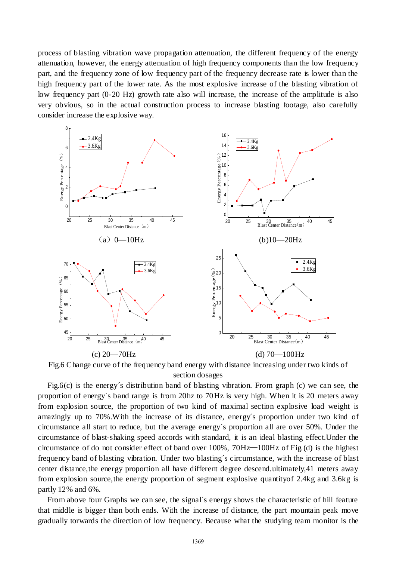process of blasting vibration wave propagation attenuation, the different frequency of the energy attenuation, however, the energy attenuation of high frequency components than the low frequency part, and the frequency zone of low frequency part of the frequency decrease rate is lower than the high frequency part of the lower rate. As the most explosive increase of the blasting vibration of low frequency part (0-20 Hz) growth rate also will increase, the increase of the amplitude is also very obvious, so in the actual construction process to increase blasting footage, also carefully consider increase the explosive way.



Fig.6 Change curve of the [frequency band energy](http://dict.cnki.net/dict_result.aspx?searchword=%e9%a2%91%e5%b8%a6%e8%83%bd%e9%87%8f&tjType=sentence&style=&t=frequency+band+energy) with distance increasing under two kinds of section [dosages](http://dict.cnki.net/dict_result.aspx?searchword=%e8%8d%af%e9%87%8f&tjType=sentence&style=&t=dosage)

Fig.6(c) is the energy´s distribution band of [blasting vibration.](http://dict.cnki.net/dict_result.aspx?searchword=%e7%88%86%e7%a0%b4%e9%9c%87%e5%8a%a8&tjType=sentence&style=&t=blasting+vibration) From graph (c) we can see, the proportion of energy´s band range is from 20hz to 70Hz is very high. When it is 20 meters away from [explosion source,](http://dict.cnki.net/javascript:showjdsw() the proportion of two kind of [maximal section explosive load weight](http://dict.cnki.net/dict_result.aspx?searchword=%e6%9c%80%e5%a4%a7%e6%ae%b5%e8%8d%af%e9%87%8f%e5%ae%89%e5%85%a8%ee%90%8c%e7%ae%97&tjType=sentence&style=&t=safety+reckoning+of+maximal+section+explosive+load+weight) is amazingly up to 70%.With the increase of its distance, energy´s proportion under two kind of circumstance all start to reduce, but the average energy´s proportion all are over 50%. Under the circumstance of [blast-shaking speed](http://dict.cnki.net/dict_result.aspx?searchword=%e7%88%86%e7%a0%b4%e9%9c%87%e9%80%9f&tjType=sentence&style=&t=blast-shaking+speed) accords with standard, it is an ideal [blasting effect.](http://dict.cnki.net/dict_result.aspx?searchword=%e7%88%86%e7%a0%b4%e6%95%88%e6%9e%9c&tjType=sentence&style=&t=blasting+effect)Under the circumstance of do not consider effect of band over 100%, 70Hz—100Hz of Fig.(d) is the highest [frequency band](http://dict.cnki.net/dict_result.aspx?searchword=%e9%a2%91%e5%b8%a6&tjType=sentence&style=&t=frequency+band) of [blasting vibration.](http://dict.cnki.net/dict_result.aspx?searchword=%e7%88%86%e7%a0%b4%e6%8c%af%e5%8a%a8&tjType=sentence&style=&t=blasting+vibration) Under two blasting´s circumstance, with the increase of [blast](http://dict.cnki.net/dict_result.aspx?searchword=%e7%88%86%e5%bf%83%e8%b7%9d&tjType=sentence&style=&t=blast+center+distance)  [center distance,](http://dict.cnki.net/dict_result.aspx?searchword=%e7%88%86%e5%bf%83%e8%b7%9d&tjType=sentence&style=&t=blast+center+distance)the energy proportion all have different degree descend.ultimately,41 meters away from [explosion source,](http://dict.cnki.net/dict_result.aspx?searchword=%e7%88%86%e6%ba%90&tjType=sentence&style=&t=explosion+source)the energy proportion of [segment explosive quantityo](http://dict.cnki.net/dict_result.aspx?searchword=%e6%ae%b5%e8%8d%af%e9%87%8f&tjType=sentence&style=&t=segment+explosive+quantity)f 2.4kg and 3.6kg is partly 12% and 6%.

From above four Graphs we can see, the signal´s energy shows the characteristic of hill feature that middle is bigger than both ends. With the increase of distance, the part mountain peak move gradually torwards the direction of [low frequency.](http://dict.cnki.net/dict_result.aspx?searchword=%e4%bd%8e%e9%a2%91&tjType=sentence&style=&t=low+frequency) Because what the [studying team](http://dict.cnki.net/dict_result.aspx?searchword=%e8%af%be%e9%a2%98%e7%bb%84&tjType=sentence&style=&t=studying+team) [monitor](http://dict.cnki.net/dict_result.aspx?searchword=%e7%9b%91%e6%b5%8b&tjType=sentence&style=&t=monitor) is the